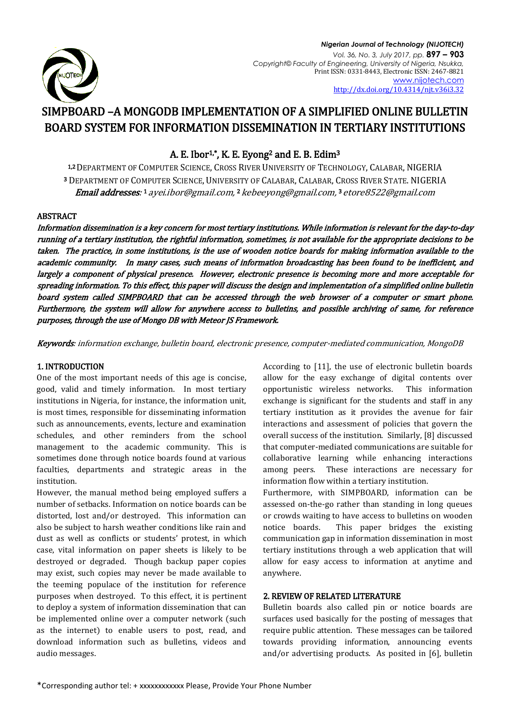

# SIMPBOARD –A MONGODB IMPLEMENTATION OF A SIMPLIFIED ONLINE BULLETIN BOARD SYSTEM FOR INFORMATION DISSEMINATION IN TERTIARY INSTITUTIONS

## A. E. Ibor<sup>1,</sup>\*, K. E. Eyong<sup>2</sup> and E. B. Edim<sup>3</sup>

1,2DEPARTMENT OF COMPUTER SCIENCE, CROSS RIVER UNIVERSITY OF TECHNOLOGY, CALABAR, NIGERIA <sup>3</sup> DEPARTMENT OF COMPUTER SCIENCE, UNIVERSITY OF CALABAR, CALABAR, CROSS RIVER STATE. NIGERIA **Email addresses**: 1 ayei.ibor@gmail.com, 2 [kebeeyong@gmail.com,](mailto:2kebeeyong@gmail.com) 3 [etore8522@gmail.com](mailto:3etore8522@gmail.com)

## ABSTRACT

Information dissemination is a key concern for most tertiary institutions. While information is relevant for the day-to-day running of a tertiary institution, the rightful information, sometimes, is not available for the appropriate decisions to be taken. The practice, in some institutions, is the use of wooden notice boards for making information available to the academic community. In many cases, such means of information broadcasting has been found to be inefficient, and largely a component of physical presence. However, electronic presence is becoming more and more acceptable for spreading information. To this effect, this paper will discuss the design and implementation of a simplified online bulletin board system called SIMPBOARD that can be accessed through the web browser of a computer or smart phone. Furthermore, the system will allow for anywhere access to bulletins, and possible archiving of same, for reference purposes, through the use of Mongo DB with Meteor JS Framework.

Keywords: information exchange, bulletin board, electronic presence, computer-mediated communication, MongoDB

### 1. INTRODUCTION

One of the most important needs of this age is concise, good, valid and timely information. In most tertiary institutions in Nigeria, for instance, the information unit, is most times, responsible for disseminating information such as announcements, events, lecture and examination schedules, and other reminders from the school management to the academic community. This is sometimes done through notice boards found at various faculties, departments and strategic areas in the institution.

However, the manual method being employed suffers a number of setbacks. Information on notice boards can be distorted, lost and/or destroyed. This information can also be subject to harsh weather conditions like rain and dust as well as conflicts or students' protest, in which case, vital information on paper sheets is likely to be destroyed or degraded. Though backup paper copies may exist, such copies may never be made available to the teeming populace of the institution for reference purposes when destroyed. To this effect, it is pertinent to deploy a system of information dissemination that can be implemented online over a computer network (such as the internet) to enable users to post, read, and download information such as bulletins, videos and audio messages.

According to [11], the use of electronic bulletin boards allow for the easy exchange of digital contents over opportunistic wireless networks. This information exchange is significant for the students and staff in any tertiary institution as it provides the avenue for fair interactions and assessment of policies that govern the overall success of the institution. Similarly, [8] discussed that computer-mediated communications are suitable for collaborative learning while enhancing interactions among peers. These interactions are necessary for information flow within a tertiary institution.

Furthermore, with SIMPBOARD, information can be assessed on-the-go rather than standing in long queues or crowds waiting to have access to bulletins on wooden notice boards. This paper bridges the existing communication gap in information dissemination in most tertiary institutions through a web application that will allow for easy access to information at anytime and anywhere.

## 2. REVIEW OF RELATED LITERATURE

Bulletin boards also called pin or notice boards are surfaces used basically for the posting of messages that require public attention. These messages can be tailored towards providing information, announcing events and/or advertising products. As posited in [6], bulletin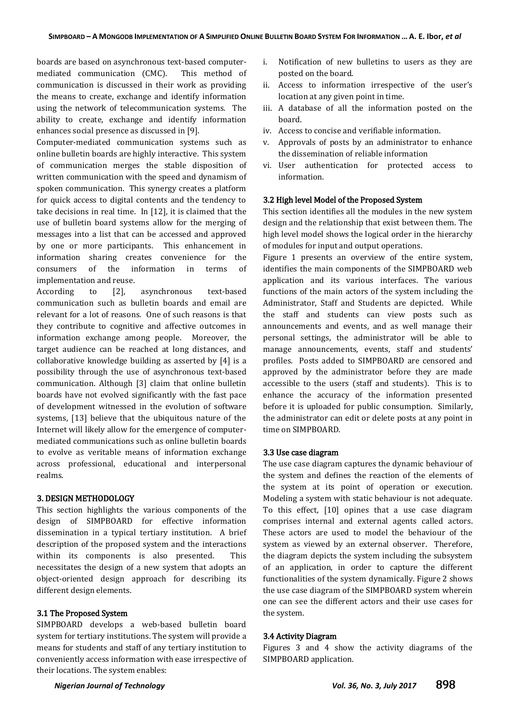boards are based on asynchronous text-based computermediated communication (CMC). This method of communication is discussed in their work as providing the means to create, exchange and identify information using the network of telecommunication systems. The ability to create, exchange and identify information enhances social presence as discussed in [9].

Computer-mediated communication systems such as online bulletin boards are highly interactive. This system of communication merges the stable disposition of written communication with the speed and dynamism of spoken communication. This synergy creates a platform for quick access to digital contents and the tendency to take decisions in real time. In [12], it is claimed that the use of bulletin board systems allow for the merging of messages into a list that can be accessed and approved by one or more participants. This enhancement in information sharing creates convenience for the consumers of the information in terms of implementation and reuse.

According to [2], asynchronous text-based communication such as bulletin boards and email are relevant for a lot of reasons. One of such reasons is that they contribute to cognitive and affective outcomes in information exchange among people. Moreover, the target audience can be reached at long distances, and collaborative knowledge building as asserted by [4] is a possibility through the use of asynchronous text-based communication. Although [3] claim that online bulletin boards have not evolved significantly with the fast pace of development witnessed in the evolution of software systems, [13] believe that the ubiquitous nature of the Internet will likely allow for the emergence of computermediated communications such as online bulletin boards to evolve as veritable means of information exchange across professional, educational and interpersonal realms.

#### 3. DESIGN METHODOLOGY

This section highlights the various components of the design of SIMPBOARD for effective information dissemination in a typical tertiary institution. A brief description of the proposed system and the interactions within its components is also presented. This necessitates the design of a new system that adopts an object-oriented design approach for describing its different design elements.

#### 3.1 The Proposed System

SIMPBOARD develops a web-based bulletin board system for tertiary institutions. The system will provide a means for students and staff of any tertiary institution to conveniently access information with ease irrespective of their locations. The system enables:

- i. Notification of new bulletins to users as they are posted on the board.
- ii. Access to information irrespective of the user's location at any given point in time.
- iii. A database of all the information posted on the board.
- iv. Access to concise and verifiable information.
- v. Approvals of posts by an administrator to enhance the dissemination of reliable information
- vi. User authentication for protected access to information.

#### 3.2 High level Model of the Proposed System

This section identifies all the modules in the new system design and the relationship that exist between them. The high level model shows the logical order in the hierarchy of modules for input and output operations.

Figure 1 presents an overview of the entire system, identifies the main components of the SIMPBOARD web application and its various interfaces. The various functions of the main actors of the system including the Administrator, Staff and Students are depicted. While the staff and students can view posts such as announcements and events, and as well manage their personal settings, the administrator will be able to manage announcements, events, staff and students' profiles. Posts added to SIMPBOARD are censored and approved by the administrator before they are made accessible to the users (staff and students). This is to enhance the accuracy of the information presented before it is uploaded for public consumption. Similarly, the administrator can edit or delete posts at any point in time on SIMPBOARD.

#### 3.3 Use case diagram

The use case diagram captures the dynamic behaviour of the system and defines the reaction of the elements of the system at its point of operation or execution. Modeling a system with static behaviour is not adequate. To this effect, [10] opines that a use case diagram comprises internal and external agents called actors. These actors are used to model the behaviour of the system as viewed by an external observer. Therefore, the diagram depicts the system including the subsystem of an application, in order to capture the different functionalities of the system dynamically. Figure 2 shows the use case diagram of the SIMPBOARD system wherein one can see the different actors and their use cases for the system.

#### 3.4 Activity Diagram

Figures 3 and 4 show the activity diagrams of the SIMPBOARD application.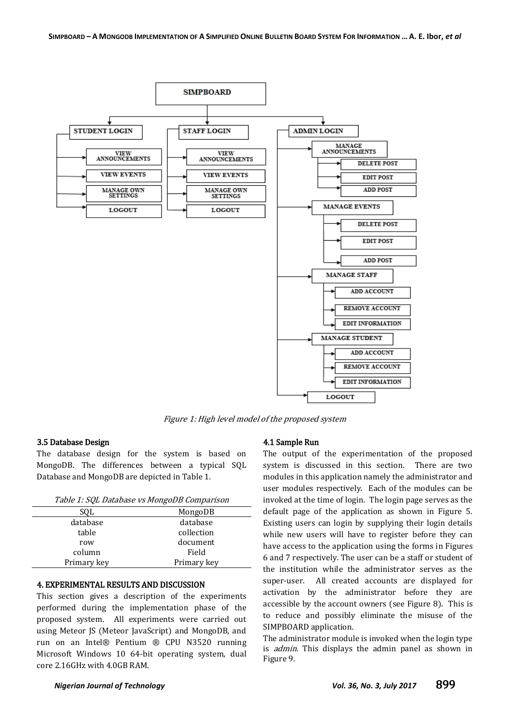

Figure 1: High level model of the proposed system

#### 3.5 Database Design

The database design for the system is based on MongoDB. The differences between a typical SQL Database and MongoDB are depicted in Table 1.

| SOL         | MongoDB     |
|-------------|-------------|
| database    | database    |
| table       | collection  |
| row         | document    |
| column      | Field       |
| Primary key | Primary key |

#### 4. EXPERIMENTAL RESULTS AND DISCUSSION

This section gives a description of the experiments performed during the implementation phase of the proposed system. All experiments were carried out using Meteor JS (Meteor JavaScript) and MongoDB, and run on an Intel® Pentium ® CPU N3520 running Microsoft Windows 10 64-bit operating system, dual core 2.16GHz with 4.0GB RAM.

#### 4.1 Sample Run

The output of the experimentation of the proposed system is discussed in this section. There are two modules in this application namely the administrator and user modules respectively. Each of the modules can be invoked at the time of login. The login page serves as the default page of the application as shown in Figure 5. Existing users can login by supplying their login details while new users will have to register before they can have access to the application using the forms in Figures 6 and 7 respectively. The user can be a staff or student of the institution while the administrator serves as the super-user. All created accounts are displayed for activation by the administrator before they are accessible by the account owners (see Figure 8). This is to reduce and possibly eliminate the misuse of the SIMPBOARD application.

The administrator module is invoked when the login type is *admin*. This displays the admin panel as shown in Figure 9.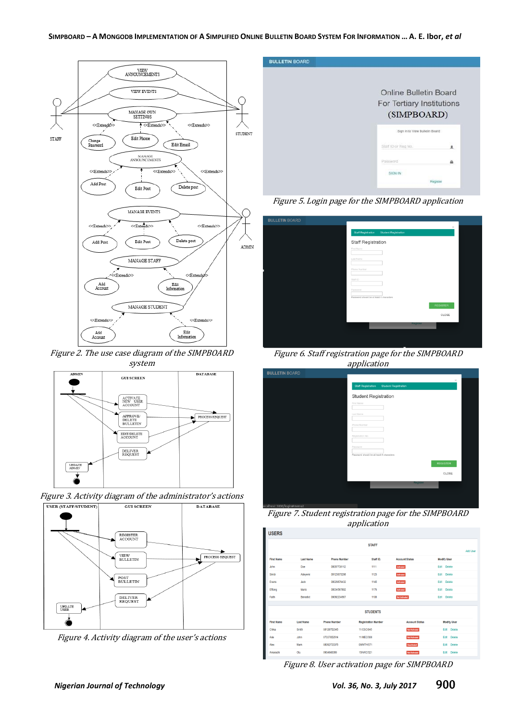

Figure 2. The use case diagram of the SIMPBOARD system







Figure 4. Activity diagram of the user's actions



Figure 5. Login page for the SIMPBOARD application

| $\!\times\!$<br>Staff Registration<br>Student Registration<br>Staff Registration<br>First Name<br>Last Name |
|-------------------------------------------------------------------------------------------------------------|
|                                                                                                             |
|                                                                                                             |
|                                                                                                             |
|                                                                                                             |
| Phone Number                                                                                                |
| Staff ID                                                                                                    |
| Password                                                                                                    |
| Password should be at least 4 characters                                                                    |
| <b>REGISTER</b>                                                                                             |
| CLOSE                                                                                                       |
| Register                                                                                                    |
|                                                                                                             |

Figure 6. Staff registration page for the SIMPBOARD application

|                       | <u>. .</u>                                        |  |
|-----------------------|---------------------------------------------------|--|
| <b>BULLETIN BOARD</b> |                                                   |  |
|                       | $\times$                                          |  |
|                       | Staff Registration<br><b>Student Registration</b> |  |
|                       | <b>Student Registration</b>                       |  |
|                       | First Name                                        |  |
|                       | Last Name                                         |  |
|                       |                                                   |  |
|                       | Phone Number                                      |  |
|                       | Registration No.                                  |  |
|                       |                                                   |  |
|                       | Password                                          |  |
|                       | Password should be at least 4 characters          |  |
|                       | <b>REGISTER</b>                                   |  |
|                       | CLOSE                                             |  |
|                       | Register                                          |  |
|                       |                                                   |  |
|                       |                                                   |  |
|                       |                                                   |  |

Figure 7. Student registration page for the SIMPBOARD application

| <b>USERS</b>      |                  |                     |                            |                       |                       |                 |
|-------------------|------------------|---------------------|----------------------------|-----------------------|-----------------------|-----------------|
|                   |                  |                     | <b>STAFF</b>               |                       |                       |                 |
|                   |                  |                     |                            |                       |                       | <b>Add User</b> |
| <b>First Name</b> | <b>Last Name</b> | <b>Phone Number</b> | Staff ID.                  | <b>Account Status</b> | <b>Modify User</b>    |                 |
| John              | Doe              | 08057738112         | 1111                       | Activated             | Edit<br><b>Delete</b> |                 |
| Simbi             | Adeyemi          | 08123675298         | 1123                       | Activated             | Delete<br>Fdit        |                 |
| Evans             | Jack             | 08029876432         | 1145                       | Activated             | Edit<br>Delete        |                 |
| Effiong           | Mario            | 08034567892         | 1176                       | Activated             | Edit<br>Delete        |                 |
| Fath              | Benedict         | 09092234567         | 1108                       | Not Activated         | <b>Delete</b><br>Edit |                 |
|                   |                  |                     |                            |                       |                       |                 |
|                   |                  |                     | <b>STUDENTS</b>            |                       |                       |                 |
| <b>First Name</b> | <b>Last Name</b> | <b>Phone Number</b> | <b>Registration Number</b> | <b>Account Status</b> | <b>Modify User</b>    |                 |
| Chika             | Smith            | 08128752345         | 11/CSC/045                 | <b>Not Activated</b>  | Edit Delete           |                 |
| Ade               | John             | 07037652514         | 11/MEC/008                 | Not Activated         | Edit<br>Delete        |                 |
| Alex              | Mark             | 08092733375         | 09/MTH/071                 | Deactivated           | <b>Delete</b><br>Edit |                 |
| Amarachi          | Olu              | 0904640089          | 15/ARC/021                 | Not Activated         | Edit<br><b>Delete</b> |                 |
|                   |                  |                     |                            |                       |                       |                 |

Figure 8. User activation page for SIMPBOARD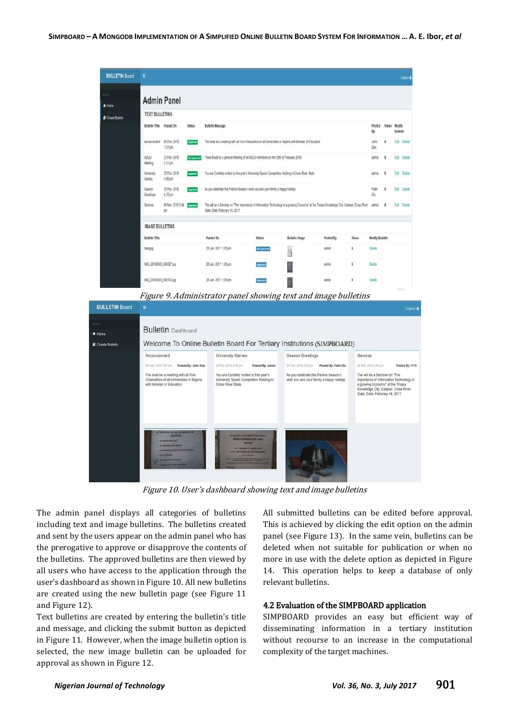| <b>BULLETIN Board</b> | ٠                               |                                                                                                                                                            |                     |                                                                                                                                                                                |                     |                       |           |          |                        |             | Logout &                        |  |
|-----------------------|---------------------------------|------------------------------------------------------------------------------------------------------------------------------------------------------------|---------------------|--------------------------------------------------------------------------------------------------------------------------------------------------------------------------------|---------------------|-----------------------|-----------|----------|------------------------|-------------|---------------------------------|--|
| M)<br>* Home          |                                 | <b>Admin Panel</b>                                                                                                                                         |                     |                                                                                                                                                                                |                     |                       |           |          |                        |             |                                 |  |
| Create Bulletin       | <b>TEXT BULLETINS</b>           |                                                                                                                                                            |                     |                                                                                                                                                                                |                     |                       |           |          |                        |             |                                 |  |
|                       | <b>Bulletin Title Posted On</b> |                                                                                                                                                            | <b>Status</b>       | <b>Bulletin Message</b>                                                                                                                                                        |                     |                       |           |          | Posted<br>Uy           |             | Views Modify<br><b>Bulletin</b> |  |
|                       | Anouncement                     | 06 Feb. 2016<br>The shall be a meeting with all Vice Chancellors of all Universities in Nigeria with Minister of Education<br><b>Assroved</b><br>$7:57$ pm |                     |                                                                                                                                                                                |                     |                       |           |          |                        |             | Edit Delate                     |  |
|                       | ASUU<br>Meeting                 | 23 Feb. 2016<br>2:31 pm                                                                                                                                    | <b>Not Approved</b> | There Shall be a general Meeting of all ASUU members on the 25th of Feburary 2016.                                                                                             |                     |                       |           |          | admin                  |             | Edit Delete                     |  |
|                       | University<br>Games             | 25 Feb. 2016<br>4:05 pm                                                                                                                                    | Accessi             | You are Contially invited to this year's University Sports Competition Holding in Cross River State                                                                            |                     |                       |           |          | admin                  |             | Edit Delete                     |  |
|                       | Season<br>Greetings             | 25 Feb. 2016<br>4:25 pm                                                                                                                                    | Approved            | As you celebrate this Festive Season I wish you and your family a happy holiday                                                                                                |                     |                       |           |          | Falth<br>Ölü           | Edt.        | Delate                          |  |
|                       | Seminar                         | 08 Mar. 2016 2:46<br>D/R)                                                                                                                                  | Approved            | The will be a Seminar on "The Importance of Information Technology in a growing Economy" at the Tinapa Knowledge City, Calabar, Cross River<br>State. Date: Feburary 14, 2017. |                     |                       |           |          | admin                  | Edit Delete |                                 |  |
|                       | <b>IMAGE BULLETINS</b>          |                                                                                                                                                            |                     |                                                                                                                                                                                |                     |                       |           |          |                        |             |                                 |  |
|                       | <b>Bulletin Title</b>           |                                                                                                                                                            |                     | Posted On                                                                                                                                                                      | <b>Status</b>       | <b>Bulletin Image</b> | Posted By | Views    | <b>Modify Bulletin</b> |             |                                 |  |
|                       | idea jpg                        |                                                                                                                                                            |                     | 25 Jan. 2017 1:35 pm                                                                                                                                                           | <b>Net Approved</b> | M                     | admin     | ö        | Delete                 |             |                                 |  |
|                       | IMG_20160303_093927.jpg         |                                                                                                                                                            |                     | 25 Jan. 2017 1:35 pm                                                                                                                                                           |                     |                       | admin.    | $\theta$ | Delete                 |             |                                 |  |
|                       | IMG_20160303_092743.jpg         |                                                                                                                                                            |                     | 25 Jan. 2017 1:35 pm                                                                                                                                                           |                     |                       | admin     | Ö        | Delete                 |             |                                 |  |
|                       |                                 |                                                                                                                                                            |                     | Figure 9. Administrator panel showing text and image bulletins                                                                                                                 |                     |                       |           |          |                        |             |                                 |  |
| <b>BULLETIN Board</b> | $\equiv$                        |                                                                                                                                                            |                     |                                                                                                                                                                                |                     |                       |           |          |                        |             | Logout                          |  |
|                       |                                 |                                                                                                                                                            |                     |                                                                                                                                                                                |                     |                       |           |          |                        |             |                                 |  |
|                       |                                 | <b>Bulletin</b> Dashboard                                                                                                                                  |                     |                                                                                                                                                                                |                     |                       |           |          |                        |             |                                 |  |
| Create Bulletin       |                                 |                                                                                                                                                            |                     | Welcome To Online Bulletin Board For Tertiary Institutions (SIMPBOARD)                                                                                                         |                     |                       |           |          |                        |             |                                 |  |
|                       | Anouncement                     |                                                                                                                                                            |                     | <b>University Games</b>                                                                                                                                                        |                     | Season Greetings      |           | Seminar  |                        |             |                                 |  |

Figure 10. User's dashboard showing text and image bulletins

25 Feb. 2016 4:05 pm

University Sports Comp<br>Cross River State

Vou are Cordially invited to this year's

The admin panel displays all categories of bulletins including text and image bulletins. The bulletins created and sent by the users appear on the admin panel who has the prerogative to approve or disapprove the contents of the bulletins. The approved bulletins are then viewed by all users who have access to the application through the user's dashboard as shown in Figure 10. All new bulletins are created using the new bulletin page (see Figure 11 and Figure 12).

 $6757$  pm

Chancellors of all Universi<br>with Minister of Education

The shall be a meeting with all Viol

Text bulletins are created by entering the bulletin's title and message, and clicking the submit button as depicted in Figure 11. However, when the image bulletin option is selected, the new image bulletin can be uploaded for approval as shown in Figure 12.

All submitted bulletins can be edited before approval. This is achieved by clicking the edit option on the admin panel (see Figure 13). In the same vein, bulletins can be deleted when not suitable for publication or when no more in use with the delete option as depicted in Figure 14. This operation helps to keep a database of only relevant bulletins.

**At Live Model A Affirmed** 

The will be a Seminar on The

e a Jermi<br>se of Inform

Importance or Information Technology<br>a growing Economy" at the Tinapa<br>Knowledge City, Calabar, Cross River<br>State. Date: Feburary 14, 2017

#### 4.2 Evaluation of the SIMPBOARD application

25 Feb. 2016 4:25 pm Posted By: Faith Olu

you and your family a happy ho

As you calchrate this Festive Season I

SIMPBOARD provides an easy but efficient way of disseminating information in a tertiary institution without recourse to an increase in the computational complexity of the target machines.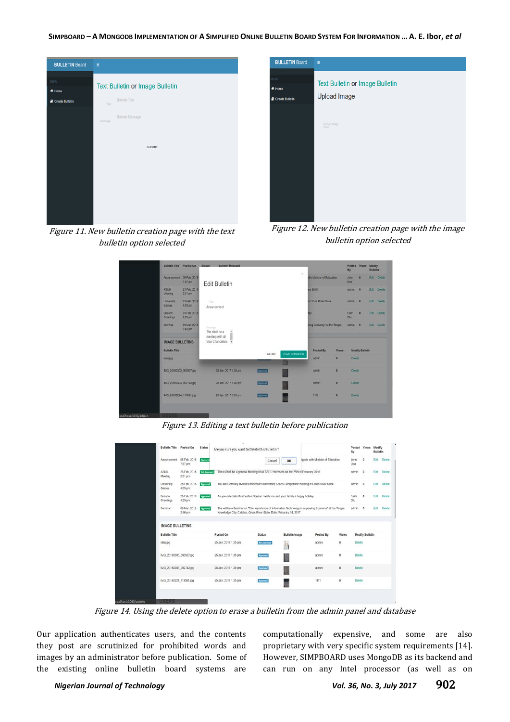SIMPBOARD - A MONGODB IMPLEMENTATION OF A SIMPLIFIED ONLINE BULLETIN BOARD SYSTEM FOR INFORMATION ... A. E. Ibor, et al



Figure 11. New bulletin creation page with the text bulletin option selected

| <b>BULLETIN Board</b>                    | Ξ                                                                                                                                                                                                                                                                                                                                                                                    |
|------------------------------------------|--------------------------------------------------------------------------------------------------------------------------------------------------------------------------------------------------------------------------------------------------------------------------------------------------------------------------------------------------------------------------------------|
| <b>MENU</b><br># Home<br>Create Bulletin | <b>Text Bulletin or Image Bulletin</b><br><b>Upload Image</b>                                                                                                                                                                                                                                                                                                                        |
|                                          | Upload Image                                                                                                                                                                                                                                                                                                                                                                         |
|                                          |                                                                                                                                                                                                                                                                                                                                                                                      |
|                                          |                                                                                                                                                                                                                                                                                                                                                                                      |
| п.                                       | $\overline{A}$ $\overline{A}$ $\overline{B}$ $\overline{B}$ $\overline{B}$ $\overline{B}$ $\overline{B}$ $\overline{B}$ $\overline{B}$ $\overline{B}$ $\overline{B}$ $\overline{B}$ $\overline{B}$ $\overline{B}$ $\overline{B}$ $\overline{B}$ $\overline{B}$ $\overline{B}$ $\overline{B}$ $\overline{B}$ $\overline{B}$ $\overline{B}$ $\overline{B}$ $\overline{B}$ $\overline{$ |

Figure 12. New bulletin creation page with the image bulletin option selected

|                            |                                                                  | <b>Bulletin Message</b><br><b>Status</b> |           | X.           |                             |                | By                 | Posted Views Modify    | <b>Bulletin</b> |              |
|----------------------------|------------------------------------------------------------------|------------------------------------------|-----------|--------------|-----------------------------|----------------|--------------------|------------------------|-----------------|--------------|
|                            | Anouncement 06 Feb 2016<br>7.57 pm                               | <b>Edit Bulletin</b>                     |           |              | ith Minister of Education   |                | <b>John</b><br>Doe | $\alpha$               |                 | Edit: Delete |
| <b>ASUU</b><br>Meeting     | 23 Feb. 2016<br>2:31 pm                                          |                                          |           |              | <b>Irv 2016.</b>            |                | admin              | $\circ$                |                 | Edit Delate  |
| <b>University</b><br>Games | 25 Feb. 2016<br>4:05 pm                                          | Title<br>Anouncement                     |           |              | n Cross River State         |                | admin              | $\overline{0}$         |                 | Edit Deleter |
| <b>Season</b><br>Greetings | 25 Feb. 2016<br>4.25 pm                                          |                                          |           |              | ay                          |                | Falth<br>Olu       | $\alpha$               |                 | Edit Delate  |
| Seminar                    | 08 Mar. 2016<br>2:46 pm                                          | <b>Message</b><br>The shall be a<br>î    |           |              | wing Economy" at the Tinapa |                | admin 0            |                        |                 | Edit Delete  |
|                            | meeting with all<br>Vice Chancellors -<br><b>IMAGE BULLETINS</b> |                                          |           |              |                             |                |                    |                        |                 |              |
| <b>Bulletin Title</b>      |                                                                  |                                          | CLOSE     | SAVE CHANGES | Posted By                   | <b>Views</b>   |                    | <b>Modify Bulletin</b> |                 |              |
| idea jog                   |                                                                  |                                          |           |              | admin                       | $\bullet$      | <b>Doloto</b>      |                        |                 |              |
|                            | IMG 20160303_093927.jpg                                          | 25 Jan. 2017 1:35 pm                     | Approved. |              | admin                       | $\circ$        | <b>Detete</b>      |                        |                 |              |
|                            | IMG 20160303 092743.jpg                                          | 25 Jan. 2017 1:35 pm                     | Approved  |              | admin                       | $\ddot{\circ}$ | Delete:            |                        |                 |              |
|                            | IMG 20160224 111001.jpg                                          | 25 Jan. 2017 1:35 pm                     | Approved  |              | 1111                        | $\bullet$      | Detete.            |                        |                 |              |

Figure 13. Editing a text bulletin before publication

|                         | Bulletin Title Posted On  | <b>Status</b>       | Are you sure you want to Delete this Bulletin?                                     |                     |                       |                                                                                                        |          | Posted<br>By | <b>Views</b>           | Modify<br>Bulletin |        |
|-------------------------|---------------------------|---------------------|------------------------------------------------------------------------------------|---------------------|-----------------------|--------------------------------------------------------------------------------------------------------|----------|--------------|------------------------|--------------------|--------|
| Anouncement             | 06 Feb. 2016<br>7:57 pm   | Approve             |                                                                                    | Cancel              | OK                    | ligeria with Minister of Education                                                                     |          | John<br>Doe  | $\ddot{\phantom{0}}$   | Edit               | Delete |
| <b>ASUU</b><br>Meeting  | 23 Feb. 2016<br>2:31 pm   | <b>Not Approved</b> | There Shall be a general Meeting of all ASUU members on the 25th of Feburary 2016. |                     |                       |                                                                                                        |          | admin        | $\circ$                | Edit               | Delete |
| University<br>Games     | 25 Feb. 2016<br>4:05 pm   | Approved            |                                                                                    |                     |                       | You are Cordially invited to this year's University Sports Competition Holding in Cross River State    |          | admin        | $\circ$                | Edit               | Delete |
| Season<br>Greetings     | 25 Feb. 2016<br>4:25 pm   | Approved            | As you celebrate this Festive Season I wish you and your family a happy holiday    |                     |                       |                                                                                                        |          | Faith<br>Olu | $\circ$                | Edit               | Delete |
| Seminar                 | 08 Mar. 2016<br>$2:46$ pm | Approved            | Knowledge City, Calabar, Cross River State, Date: Feburary 14, 2017                |                     |                       | The will be a Seminar on "The Importance of Information Technology in a growing Economy" at the Tinapa |          | admin        | $\circ$                | Edit               | Delete |
| <b>IMAGE BULLETINS</b>  |                           |                     |                                                                                    |                     |                       |                                                                                                        |          |              |                        |                    |        |
| <b>Bulletin Title</b>   |                           |                     | Posted On                                                                          | <b>Status</b>       | <b>Bulletin Image</b> | Posted By                                                                                              | Views    |              | <b>Modify Bulletin</b> |                    |        |
| idea.jpg                |                           |                     | 25 Jan. 2017 1:35 pm                                                               | <b>Not Approved</b> | 焰                     | admin                                                                                                  | 0        | Delete<br>-- |                        |                    |        |
| IMG 20160303 093927.jpg |                           |                     | 25 Jan. 2017 1:35 pm                                                               | Approved            |                       | admin                                                                                                  | o        | Delete       |                        |                    |        |
| IMG_20160303_092743.jpg |                           |                     | 25 Jan. 2017 1:35 pm                                                               | Approved            |                       | admin                                                                                                  | $\theta$ | Delote       |                        |                    |        |
|                         | IMG 20160224 111001.jpg   |                     | 25 Jan. 2017 1:35 pm                                                               | Approved            |                       | 1111                                                                                                   | ٥        | Delete       |                        |                    |        |

Figure 14. Using the delete option to erase a bulletin from the admin panel and database

Our application authenticates users, and the contents they post are scrutinized for prohibited words and images by an administrator before publication. Some of the existing online bulletin board systems are

computationally expensive, and some are also proprietary with very specific system requirements [14]. However, SIMPBOARD uses MongoDB as its backend and can run on any Intel processor (as well as on